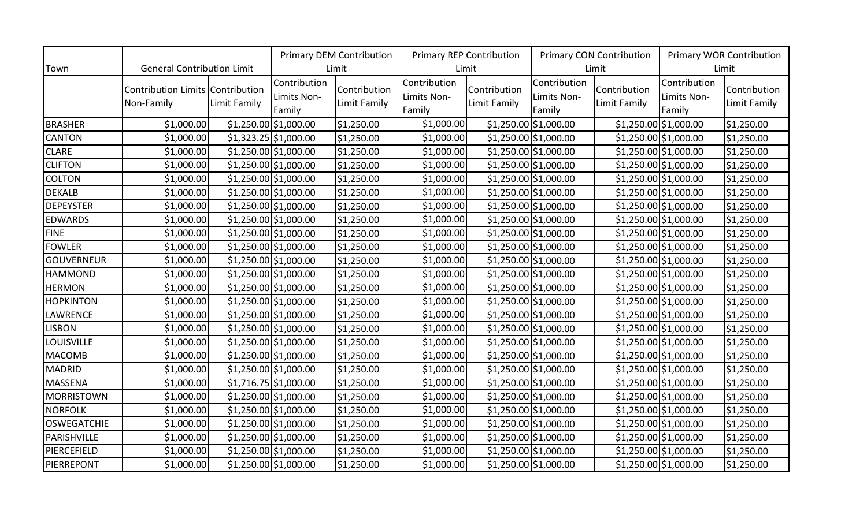|                    |                                                |              | <b>Primary DEM Contribution</b>       |                              | <b>Primary REP Contribution</b>       |                              | <b>Primary CON Contribution</b>       |                              | <b>Primary WOR Contribution</b>       |                              |
|--------------------|------------------------------------------------|--------------|---------------------------------------|------------------------------|---------------------------------------|------------------------------|---------------------------------------|------------------------------|---------------------------------------|------------------------------|
| Town               | <b>General Contribution Limit</b>              |              | Limit                                 |                              | Limit                                 |                              | Limit                                 |                              | Limit                                 |                              |
|                    | Contribution Limits Contribution<br>Non-Family | Limit Family | Contribution<br>Limits Non-<br>Family | Contribution<br>Limit Family | Contribution<br>Limits Non-<br>Family | Contribution<br>Limit Family | Contribution<br>Limits Non-<br>Family | Contribution<br>Limit Family | Contribution<br>Limits Non-<br>Family | Contribution<br>Limit Family |
| <b>BRASHER</b>     | \$1,000.00                                     |              | \$1,250.00 \$1,000.00                 | \$1,250.00                   | \$1,000.00                            |                              | \$1,250.00 \$1,000.00                 |                              | $$1,250.00$ \$1,000.00                | \$1,250.00                   |
| <b>CANTON</b>      | \$1,000.00                                     |              | $$1,323.25$ $$1,000.00$               | \$1,250.00                   | \$1,000.00                            |                              | $$1,250.00$ \$1,000.00                |                              | $$1,250.00$ \$1,000.00                | \$1,250.00                   |
| <b>CLARE</b>       | \$1,000.00                                     |              | $$1,250.00$ \$1,000.00                | \$1,250.00                   | \$1,000.00                            |                              | $$1,250.00$ \$1,000.00                |                              | $$1,250.00$ \$1,000.00                | \$1,250.00                   |
| <b>CLIFTON</b>     | \$1,000.00                                     |              | $$1,250.00$ \$1,000.00                | \$1,250.00                   | \$1,000.00                            |                              | $$1,250.00$ \$1,000.00                |                              | $$1,250.00$ \$1,000.00                | \$1,250.00                   |
| <b>COLTON</b>      | \$1,000.00                                     |              | $$1,250.00$ \$1,000.00                | \$1,250.00                   | \$1,000.00                            |                              | $$1,250.00$ $$1,000.00$               |                              | $$1,250.00$ $$1,000.00$               | \$1,250.00                   |
| <b>DEKALB</b>      | \$1,000.00                                     |              | $$1,250.00$ \$1,000.00                | \$1,250.00                   | \$1,000.00                            |                              | $$1,250.00$ $$1,000.00$               |                              | $$1,250.00$ $$1,000.00$               | \$1,250.00                   |
| <b>DEPEYSTER</b>   | \$1,000.00                                     |              | $$1,250.00$ \$1,000.00                | \$1,250.00                   | \$1,000.00                            |                              | \$1,250.00 \$1,000.00                 |                              | $$1,250.00$ \$1,000.00                | \$1,250.00                   |
| <b>EDWARDS</b>     | \$1,000.00                                     |              | $$1,250.00$ \$1,000.00                | \$1,250.00                   | \$1,000.00                            |                              | $$1,250.00$ \$1,000.00                |                              | $$1,250.00$ \$1,000.00                | \$1,250.00                   |
| <b>FINE</b>        | \$1,000.00                                     |              | $$1,250.00$ \$1,000.00                | \$1,250.00                   | \$1,000.00                            |                              | \$1,250.00 \$1,000.00                 |                              | $$1,250.00$ \$1,000.00                | \$1,250.00                   |
| <b>FOWLER</b>      | \$1,000.00                                     |              | \$1,250.00 \$1,000.00                 | \$1,250.00                   | \$1,000.00                            |                              | $$1,250.00$ $$1,000.00$               |                              | \$1,250.00 \$1,000.00                 | \$1,250.00                   |
| <b>GOUVERNEUR</b>  | \$1,000.00                                     |              | $$1,250.00$ \$1,000.00                | \$1,250.00                   | \$1,000.00                            |                              | $$1,250.00$ \$1,000.00                |                              | \$1,250.00 \$1,000.00                 | \$1,250.00                   |
| <b>HAMMOND</b>     | \$1,000.00                                     |              | $$1,250.00$ \$1,000.00                | \$1,250.00                   | \$1,000.00                            |                              | \$1,250.00 \$1,000.00                 |                              | \$1,250.00 \$1,000.00                 | \$1,250.00                   |
| <b>HERMON</b>      | \$1,000.00                                     |              | \$1,250.00 \$1,000.00                 | \$1,250.00                   | \$1,000.00                            |                              | \$1,250.00 \$1,000.00                 |                              | $$1,250.00$ \$1,000.00                | \$1,250.00                   |
| <b>HOPKINTON</b>   | \$1,000.00                                     |              | $$1,250.00$ $$1,000.00$               | \$1,250.00                   | \$1,000.00                            |                              | \$1,250.00 \$1,000.00                 |                              | $$1,250.00$ \$1,000.00                | \$1,250.00                   |
| LAWRENCE           | \$1,000.00                                     |              | $$1,250.00$ \$1,000.00                | \$1,250.00                   | \$1,000.00                            |                              | $$1,250.00$ $$1,000.00$               |                              | $$1,250.00$ \$1,000.00                | \$1,250.00                   |
| <b>LISBON</b>      | \$1,000.00                                     |              | $$1,250.00$ \$1,000.00                | \$1,250.00                   | \$1,000.00                            |                              | $$1,250.00$ \$1,000.00                |                              | $$1,250.00$ \$1,000.00                | \$1,250.00                   |
| <b>LOUISVILLE</b>  | \$1,000.00                                     |              | $$1,250.00$ \$1,000.00                | \$1,250.00                   | \$1,000.00                            |                              | $$1,250.00$ \$1,000.00                |                              | $$1,250.00$ \$1,000.00                | \$1,250.00                   |
| <b>MACOMB</b>      | \$1,000.00                                     |              | $$1,250.00$ \$1,000.00                | \$1,250.00                   | \$1,000.00                            |                              | $$1,250.00$ $$1,000.00$               |                              | $$1,250.00$ $$1,000.00$               | \$1,250.00                   |
| <b>MADRID</b>      | \$1,000.00                                     |              | $$1,250.00$ \$1,000.00                | \$1,250.00                   | \$1,000.00                            |                              | $$1,250.00$ \$1,000.00                |                              | $$1,250.00$ $$1,000.00$               | \$1,250.00                   |
| <b>MASSENA</b>     | \$1,000.00                                     |              | $$1,716.75$ \$1,000.00                | \$1,250.00                   | \$1,000.00                            |                              | $$1,250.00$ $$1,000.00$               |                              | \$1,250.00 \$1,000.00                 | \$1,250.00                   |
| MORRISTOWN         | \$1,000.00                                     |              | $$1,250.00$ \$1,000.00                | \$1,250.00                   | \$1,000.00                            |                              | \$1,250.00 \$1,000.00                 |                              | $$1,250.00$ \$1,000.00                | \$1,250.00                   |
| <b>NORFOLK</b>     | \$1,000.00                                     |              | \$1,250.00 \$1,000.00                 | \$1,250.00                   | \$1,000.00                            |                              | \$1,250.00 \$1,000.00                 |                              | $$1,250.00$ \$1,000.00                | \$1,250.00                   |
| <b>OSWEGATCHIE</b> | \$1,000.00                                     |              | $$1,250.00$ \$1,000.00                | \$1,250.00                   | \$1,000.00                            |                              | $$1,250.00$ \$1,000.00                |                              | $$1,250.00$ \$1,000.00                | \$1,250.00                   |
| PARISHVILLE        | \$1,000.00                                     |              | \$1,250.00 \$1,000.00                 | \$1,250.00                   | \$1,000.00                            |                              | $$1,250.00$ \$1,000.00                |                              | $$1,250.00$ \$1,000.00                | \$1,250.00                   |
| PIERCEFIELD        | \$1,000.00                                     |              | \$1,250.00 \$1,000.00                 | \$1,250.00                   | \$1,000.00                            |                              | $$1,250.00$ \$1,000.00                |                              | $$1,250.00$ \$1,000.00                | \$1,250.00                   |
| PIERREPONT         | \$1,000.00                                     |              | \$1,250.00 \$1,000.00                 | \$1,250.00                   | \$1,000.00                            |                              | \$1,250.00 \$1,000.00                 |                              | $$1,250.00$ \$1,000.00                | \$1,250.00                   |